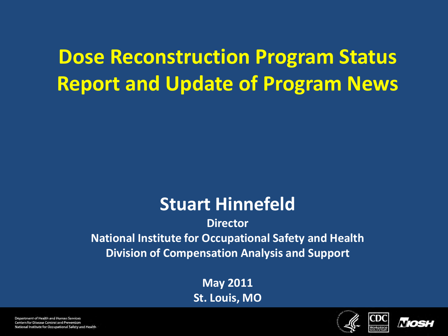## **Dose Reconstruction Program Status Report and Update of Program News**

#### **Stuart Hinnefeld**

#### **Director National Institute for Occupational Safety and Health Division of Compensation Analysis and Support**

**May 2011 St. Louis, MO**



CDC



Department of Health and Human Services Centers for Disease Control and Prevention National Institute for Occupational Safety and Health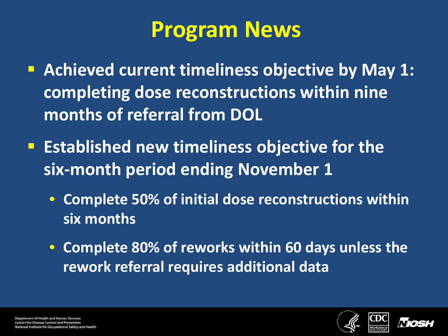# **Program News**

- **Achieved current timeliness objective by May 1: completing dose reconstructions within nine months of referral from DOL**
- **Extablished new timeliness objective for the six-month period ending November 1**
	- **Complete 50% of initial dose reconstructions within six months**
	- **Complete 80% of reworks within 60 days unless the rework referral requires additional data**



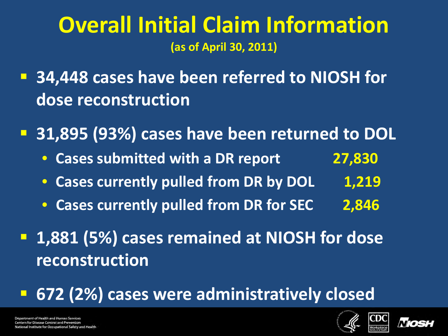### **Overall Initial Claim Information (as of April 30, 2011)**

**B 34,448 cases have been referred to NIOSH for dose reconstruction**

**31,895 (93%) cases have been returned to DOL**

- **Cases submitted with a DR report 27,830**
- **Cases currently pulled from DR by DOL 1,219**
- **Cases currently pulled from DR for SEC 2,846**
- **1,881 (5%) cases remained at NIOSH for dose reconstruction**
- **672 (2%) cases were administratively closed**





Department of Health and Human Services **Centers for Disease Control and Prevention** nal Institute for Occupational Safety and Health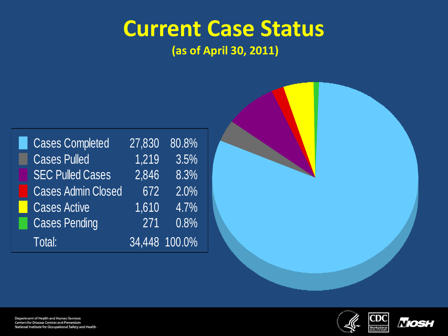## **Current Case Status**

**(as of April 30, 2011)**





CDC

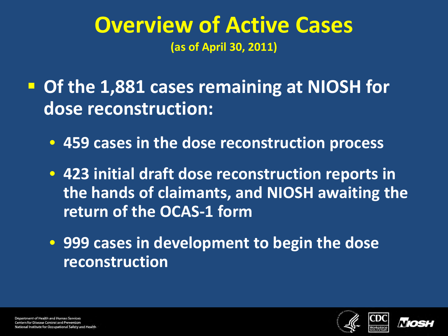### **Overview of Active Cases (as of April 30, 2011)**

 **Of the 1,881 cases remaining at NIOSH for dose reconstruction:**

• **459 cases in the dose reconstruction process**

• **423 initial draft dose reconstruction reports in the hands of claimants, and NIOSH awaiting the return of the OCAS-1 form**

• **999 cases in development to begin the dose reconstruction**



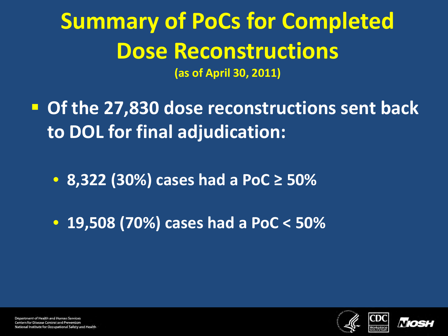## **Summary of PoCs for Completed Dose Reconstructions (as of April 30, 2011)**

 **Of the 27,830 dose reconstructions sent back to DOL for final adjudication:**

• **8,322 (30%) cases had a PoC ≥ 50%**

• **19,508 (70%) cases had a PoC < 50%**



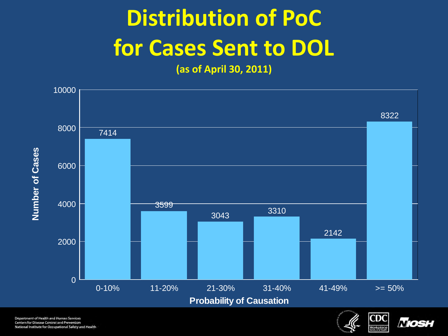# **Distribution of PoC for Cases Sent to DOL**

**(as of April 30, 2011)**



Department of Health and Human Services **Centers for Disease Control and Prevention** National Institute for Occupational Safety and Health



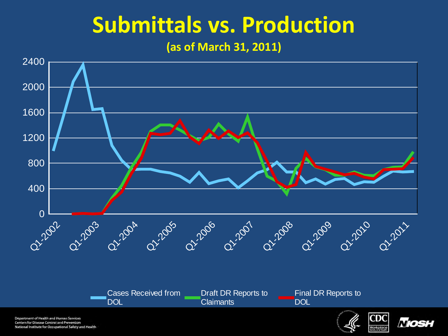# **Submittals vs. Production**

**(as of March 31, 2011)**



Department of Health and Human Services Centers for Disease Control and Prevention National Institute for Occupational Safety and Health

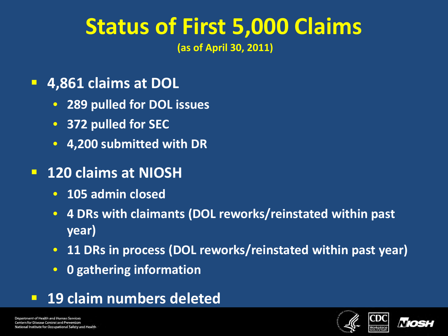# **Status of First 5,000 Claims**

**(as of April 30, 2011)** 

#### **4,861 claims at DOL**

- **289 pulled for DOL issues**
- **372 pulled for SEC**
- **4,200 submitted with DR**

#### **120 claims at NIOSH**

- **105 admin closed**
- **4 DRs with claimants (DOL reworks/reinstated within past year)**
- **11 DRs in process (DOL reworks/reinstated within past year)**
- **0 gathering information**
- **19 claim numbers deleted**



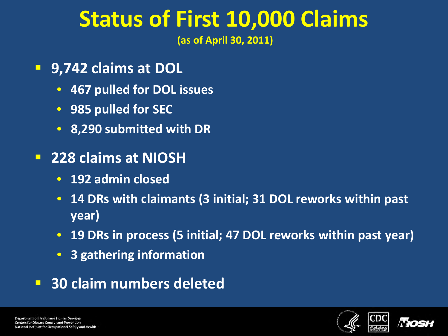# **Status of First 10,000 Claims**

**(as of April 30, 2011)** 

- **9,742 claims at DOL**
	- **467 pulled for DOL issues**
	- **985 pulled for SEC**
	- **8,290 submitted with DR**
- **228 claims at NIOSH**
	- **192 admin closed**
	- **14 DRs with claimants (3 initial; 31 DOL reworks within past year)**
	- **19 DRs in process (5 initial; 47 DOL reworks within past year)**
	- **3 gathering information**
- **30 claim numbers deleted**

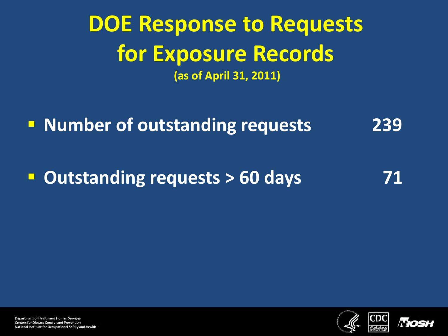## **DOE Response to Requests for Exposure Records (as of April 31, 2011)**

**Number of outstanding requests** 239

**Dutstanding requests > 60 days** 71



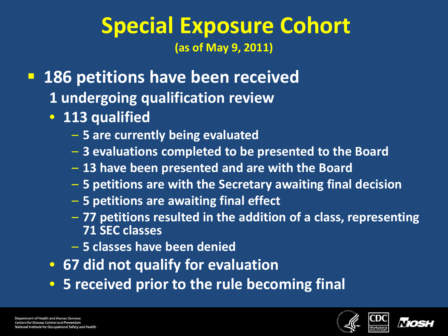### **Special Exposure Cohort (as of May 9, 2011)**

- **186 petitions have been received**
	- **1 undergoing qualification review**
	- **113 qualified**
		- **5 are currently being evaluated**
		- **3 evaluations completed to be presented to the Board**
		- **13 have been presented and are with the Board**
		- **5 petitions are with the Secretary awaiting final decision**
		- **5 petitions are awaiting final effect**
		- **77 petitions resulted in the addition of a class, representing 71 SEC classes**
		- **5 classes have been denied**
	- **67 did not qualify for evaluation**
	- **5 received prior to the rule becoming final**